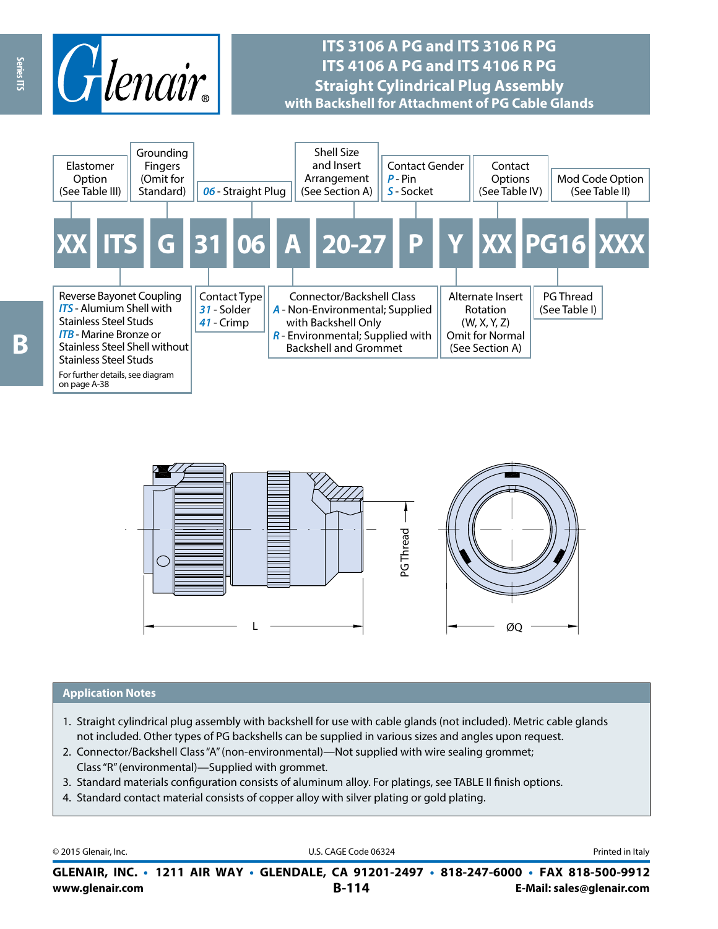

## **ITS 3106 A PG and ITS 3106 R PG ITS 4106 A PG and ITS 4106 R PG Straight Cylindrical Plug Assembly with Backshell for Attachment of PG Cable Glands**





#### **Application Notes**

- 1. Straight cylindrical plug assembly with backshell for use with cable glands (not included). Metric cable glands not included. Other types of PG backshells can be supplied in various sizes and angles upon request.
- 2. Connector/Backshell Class "A" (non-environmental)—Not supplied with wire sealing grommet; Class "R" (environmental)—Supplied with grommet.
- 3. Standard materials configuration consists of aluminum alloy. For platings, see TABLE II finish options.
- 4. Standard contact material consists of copper alloy with silver plating or gold plating.

© 2015 Glenair, Inc. **Discription Construction Construction Construction Construction Construction Construction Construction Construction Construction Construction Construction Construction Construction Construction Constr** 

**www.glenair.com B-114 E-Mail: sales@glenair.com GLENAIR, INC. • 1211 AIR WAY • GLENDALE, CA 91201-2497 • 818-247-6000 • FAX 818-500-9912**